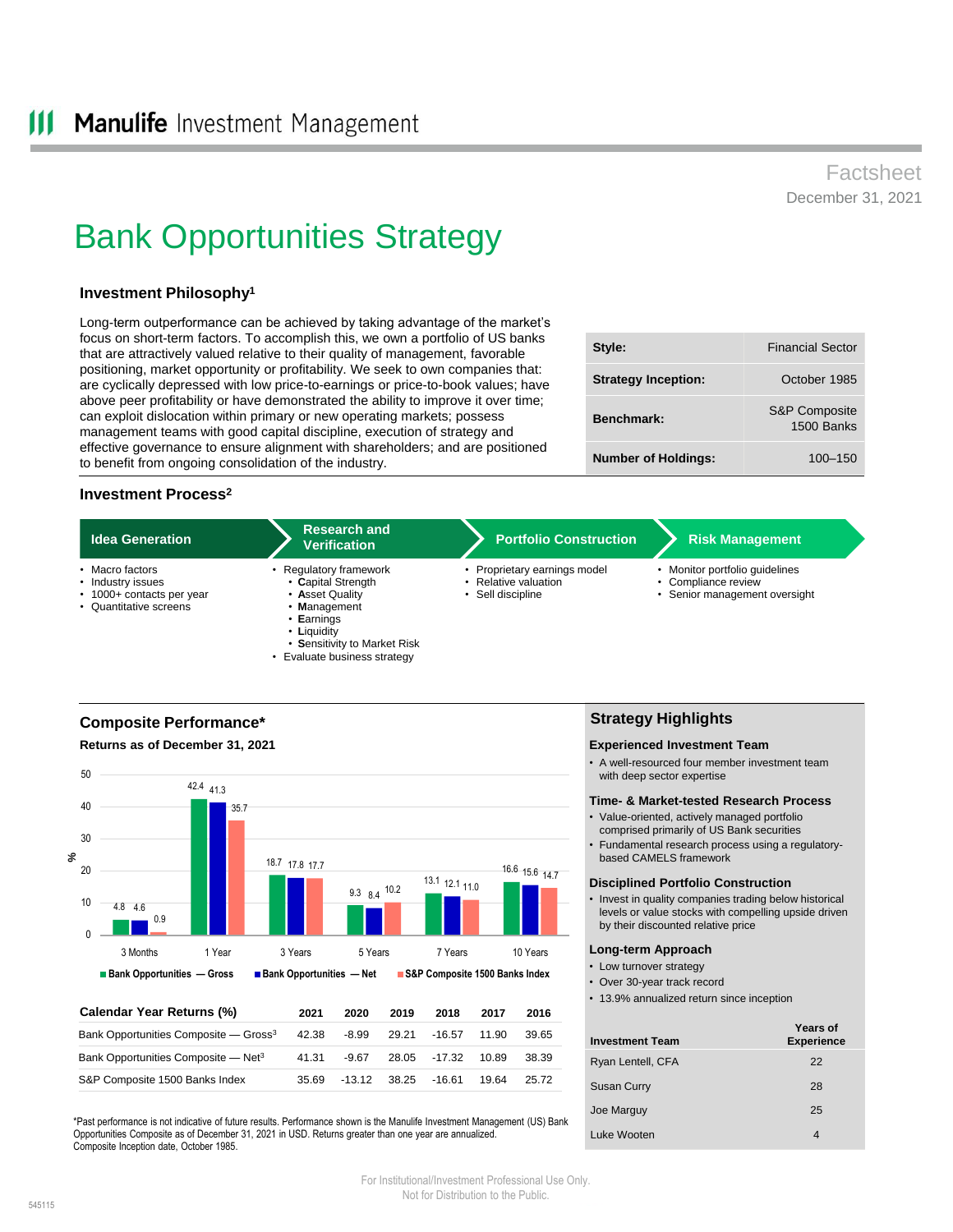## Factsheet December 31, 2021

# Bank Opportunities Strategy

## **Investment Philosophy<sup>1</sup>**

Long-term outperformance can be achieved by taking advantage of the market's focus on short-term factors. To accomplish this, we own a portfolio of US banks that are attractively valued relative to their quality of management, favorable positioning, market opportunity or profitability. We seek to own companies that: are cyclically depressed with low price-to-earnings or price-to-book values; have above peer profitability or have demonstrated the ability to improve it over time; can exploit dislocation within primary or new operating markets; possess management teams with good capital discipline, execution of strategy and effective governance to ensure alignment with shareholders; and are positioned to benefit from ongoing consolidation of the industry.

| Style:                     | <b>Financial Sector</b>                |
|----------------------------|----------------------------------------|
| <b>Strategy Inception:</b> | October 1985                           |
| <b>Benchmark</b>           | <b>S&amp;P Composite</b><br>1500 Banks |
| <b>Number of Holdings:</b> | $100 - 150$                            |

## **Investment Process<sup>2</sup>**

| <b>Idea Generation</b>                                                                      | <b>Research and</b><br><b>Verification</b>                                                                     | <b>Portfolio Construction</b>                                         | <b>Risk Management</b>                                                                 |
|---------------------------------------------------------------------------------------------|----------------------------------------------------------------------------------------------------------------|-----------------------------------------------------------------------|----------------------------------------------------------------------------------------|
| • Macro factors<br>• Industry issues<br>• 1000+ contacts per year<br>• Quantitative screens | Regulatory framework<br>• Capital Strength<br>• Asset Quality<br>Management<br>$\cdot$ Earnings<br>• Liquidity | Proprietary earnings model<br>Relative valuation<br>• Sell discipline | • Monitor portfolio quidelines<br>• Compliance review<br>• Senior management oversight |

## **Composite Performance\* Returns as of December 31, 2021**

**%** 4.8 4.6 42.4 41.3 18.7 17.8 17.7 9.3 8.4 10.2 13.1 12.1 11.0 16.6 15.6 14.7 0.9 35.7  $\Omega$ 10 20 30 40 50 3 Months 1 Year 3 Years 5 Years 7 Years 10 Years **Bank Opportunities — Gross Bank Opportunities — Net S&P Composite 1500 Banks Index**

• **S**ensitivity to Market Risk • Evaluate business strategy

| Calendar Year Returns (%)                         | 2021  | 2020     | 2019  | 2018     | 2017  | 2016  |
|---------------------------------------------------|-------|----------|-------|----------|-------|-------|
| Bank Opportunities Composite - Gross <sup>3</sup> | 42.38 | -8.99    | 29.21 | $-16.57$ | 11.90 | 39.65 |
| Bank Opportunities Composite - Net <sup>3</sup>   | 41.31 | $-9.67$  | 28.05 | -17.32   | 10.89 | 38.39 |
| S&P Composite 1500 Banks Index                    | 35.69 | $-13.12$ | 38.25 | -16.61   | 19.64 | 25.72 |

\*Past performance is not indicative of future results. Performance shown is the Manulife Investment Management (US) Bank Opportunities Composite as of December 31, 2021 in USD. Returns greater than one year are annualized. Composite Inception date, October 1985.

## **Strategy Highlights**

#### **Experienced Investment Team**

• A well-resourced four member investment team with deep sector expertise

#### **Time- & Market-tested Research Process**

- Value-oriented, actively managed portfolio comprised primarily of US Bank securities
- Fundamental research process using a regulatorybased CAMELS framework

#### **Disciplined Portfolio Construction**

• Invest in quality companies trading below historical levels or value stocks with compelling upside driven by their discounted relative price

#### **Long-term Approach**

- Low turnover strategy
- Over 30-year track record
- 13.9% annualized return since inception

| <b>Investment Team</b> | <b>Years of</b><br><b>Experience</b> |
|------------------------|--------------------------------------|
| Ryan Lentell, CFA      | 22                                   |
| <b>Susan Curry</b>     | 28                                   |
| Joe Marguy             | 25                                   |
| Luke Wooten            |                                      |